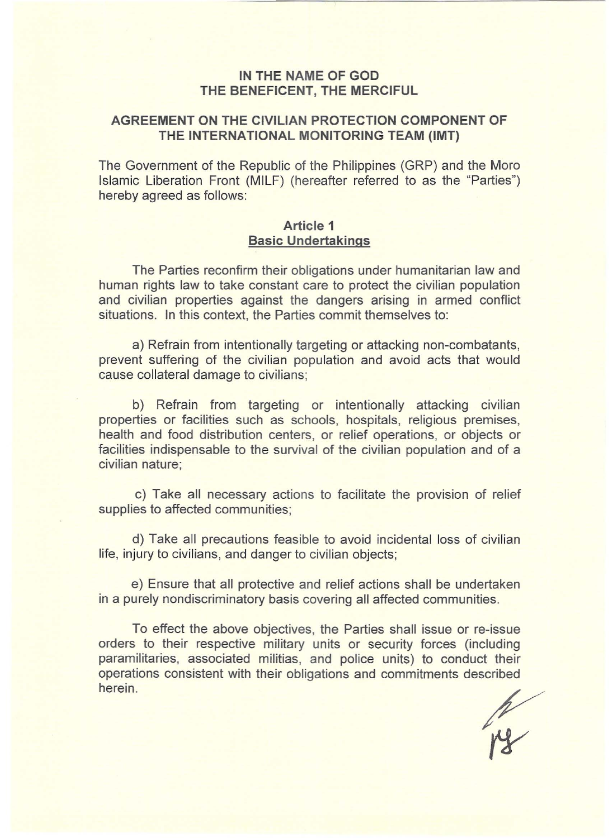# **IN THE NAME OF GOD THE BENEFICENT, THE MERCIFUL**

# **AGREEMENT ON THE CIVILIAN PROTECTION COMPONENT OF THE INTERNATIONAL MONITORING TEAM (IMT)**

The Government of the Republic of the Philippines (GRP) and the Moro Islamic Liberation Front (MILF) (hereafter referred to as the "Parties") hereby agreed as follows:

#### **Article 1 Basic Undertakings**

The Parties reconfirm their obligations under humanitarian law and human rights law to take constant care to protect the civilian population and civilian properties against the dangers arising in armed conflict situations. In this context, the Parties commit themselves to:

a) Refrain from intentionally targeting or attacking non-combatants, prevent suffering of the civilian population and avoid acts that would cause collateral damage to civilians;

b) Refrain from targeting or intentionally attacking civilian properties or facilities such as schools, hospitals, religious premises, health and food distribution centers, or relief operations, or objects or facilities indispensable to the survival of the civilian population and of a civilian nature;

c) Take all necessary actions to facilitate the provision of relief supplies to affected communities;

d) Take all precautions feasible to avoid incidental loss of civilian life, injury to civilians, and danger to civilian objects;

e) Ensure that all protective and relief actions shall be undertaken in a purely nondiscriminatory basis covering all affected communities.

To effect the above objectives, the Parties shall issue or re-issue orders to their respective military units or security forces (including paramilitaries, associated militias, and police units) to conduct their operations consistent with their obligations and commitments described herein.

ry